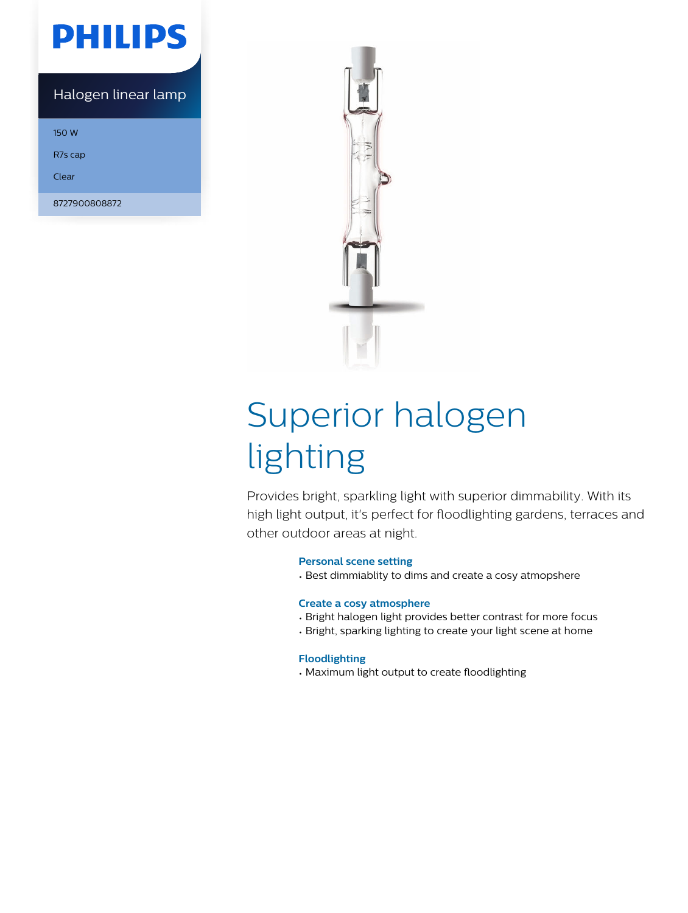## **PHILIPS**

#### Halogen linear lamp

150 W

R7s cap

Clear

8727900808872



# Superior halogen lighting

Provides bright, sparkling light with superior dimmability. With its high light output, it's perfect for floodlighting gardens, terraces and other outdoor areas at night.

#### **Personal scene setting**

• Best dimmiablity to dims and create a cosy atmopshere

#### **Create a cosy atmosphere**

- Bright halogen light provides better contrast for more focus
- Bright, sparking lighting to create your light scene at home

#### **Floodlighting**

• Maximum light output to create floodlighting